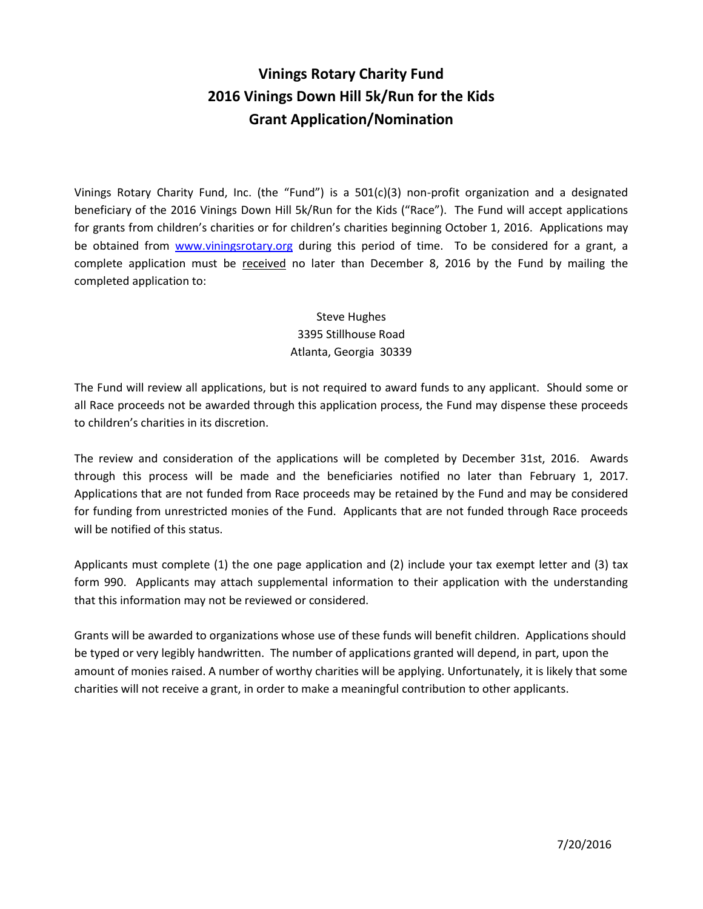## **Vinings Rotary Charity Fund 2016 Vinings Down Hill 5k/Run for the Kids Grant Application/Nomination**

Vinings Rotary Charity Fund, Inc. (the "Fund") is a 501(c)(3) non-profit organization and a designated beneficiary of the 2016 Vinings Down Hill 5k/Run for the Kids ("Race"). The Fund will accept applications for grants from children's charities or for children's charities beginning October 1, 2016. Applications may be obtained from [www.viningsrotary.org](http://www.viningsrotary.org/) during this period of time. To be considered for a grant, a complete application must be received no later than December 8, 2016 by the Fund by mailing the completed application to:

## Steve Hughes 3395 Stillhouse Road Atlanta, Georgia 30339

The Fund will review all applications, but is not required to award funds to any applicant. Should some or all Race proceeds not be awarded through this application process, the Fund may dispense these proceeds to children's charities in its discretion.

The review and consideration of the applications will be completed by December 31st, 2016. Awards through this process will be made and the beneficiaries notified no later than February 1, 2017. Applications that are not funded from Race proceeds may be retained by the Fund and may be considered for funding from unrestricted monies of the Fund. Applicants that are not funded through Race proceeds will be notified of this status.

Applicants must complete (1) the one page application and (2) include your tax exempt letter and (3) tax form 990. Applicants may attach supplemental information to their application with the understanding that this information may not be reviewed or considered.

Grants will be awarded to organizations whose use of these funds will benefit children. Applications should be typed or very legibly handwritten. The number of applications granted will depend, in part, upon the amount of monies raised. A number of worthy charities will be applying. Unfortunately, it is likely that some charities will not receive a grant, in order to make a meaningful contribution to other applicants.